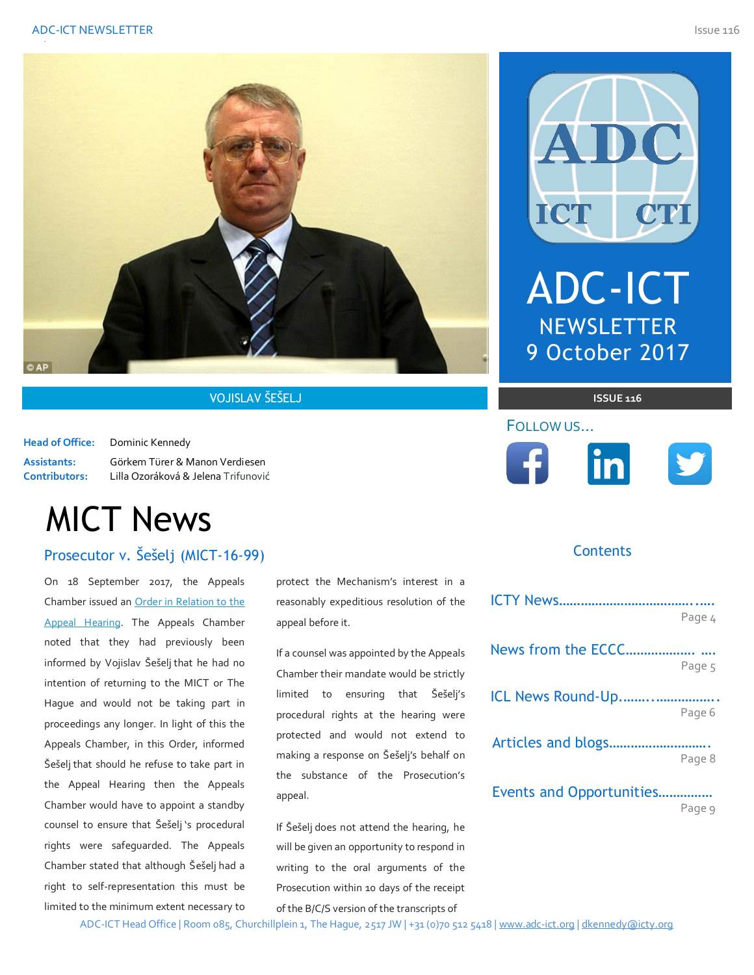



## VOJISLAV ŠEŠELJ **ISSUE 116**

**Head of Office:** Dominic Kennedy

**Assistants:** Görkem Türer & Manon Verdiesen **Contributors:** Lilla Ozoráková & Jelena Trifunović

# MICT News

## Prosecutor v. Šešelj (MICT-16-99) and do not necessarily reflect the author(s) and do not necessarily reflect the  $\sim$

On 18 September 2017, the Appeals Chamber issued an [Order in Relation to the](http://jrad.unmict.org/webdrawer/webdrawer.dll/webdrawer/rec/239676/view/)  [Appeal Hearing.](http://jrad.unmict.org/webdrawer/webdrawer.dll/webdrawer/rec/239676/view/) The Appeals Chamber noted that they had previously been informed by Vojislav Šešelj that he had no intention of returning to the MICT or The Hague and would not be taking part in proceedings any longer. In light of this the Appeals Chamber, in this Order, informed Šešelj that should he refuse to take part in the Appeal Hearing then the Appeals Chamber would have to appoint a standby counsel to ensure that Šešelj 's procedural rights were safeguarded. The Appeals Chamber stated that although Šešelj had a right to self-representation this must be limited to the minimum extent necessary to

protect the Mechanism's interest in a reasonably expeditious resolution of the appeal before it.

If a counsel was appointed by the Appeals Chamber their mandate would be strictly limited to ensuring that Šešelj's procedural rights at the hearing were protected and would not extend to making a response on Šešelj's behalf on the substance of the Prosecution's appeal.

If Šešelj does not attend the hearing, he will be given an opportunity to respond in writing to the oral arguments of the Prosecution within 10 days of the receipt of the B/C/S version of the transcripts of

A DC ICT ADC-ICT

**NEWSLETTER** 9 October 2017



## FOLLOW US…



## **Contents**

|                          | Page 4 |
|--------------------------|--------|
|                          |        |
|                          | Page 5 |
| ICL News Round-Up        |        |
|                          | Page 6 |
| Articles and blogs       |        |
|                          | Page 8 |
| Events and Opportunities |        |

Page 9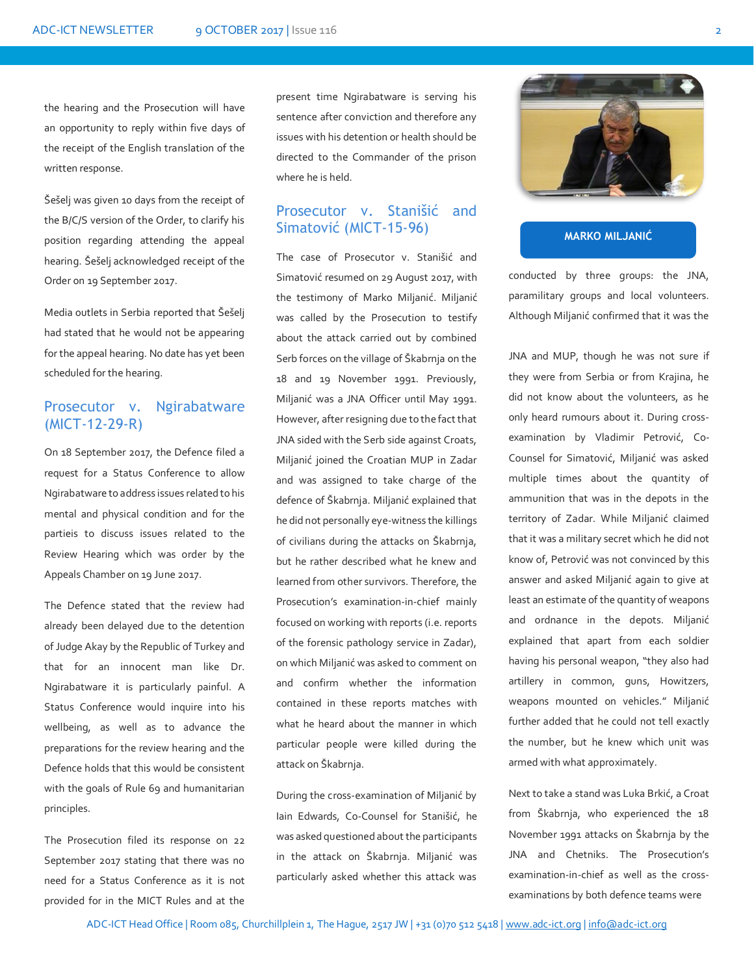the hearing and the Prosecution will have an opportunity to reply within five days of the receipt of the English translation of the written response.

Šešelj was given 10 days from the receipt of the B/C/S version of the Order, to clarify his position regarding attending the appeal hearing. Šešelj acknowledged receipt of the Order on 19 September 2017.

Media outlets in Serbia reported that Šešelj had stated that he would not be appearing for the appeal hearing. No date has yet been scheduled for the hearing.

## Prosecutor v. Ngirabatware (MICT-12-29-R)

On 18 September 2017, the Defence filed a request for a Status Conference to allow Ngirabatware to address issues related to his mental and physical condition and for the partieis to discuss issues related to the Review Hearing which was order by the Appeals Chamber on 19 June 2017.

The Defence stated that the review had already been delayed due to the detention of Judge Akay by the Republic of Turkey and that for an innocent man like Dr. Ngirabatware it is particularly painful. A Status Conference would inquire into his wellbeing, as well as to advance the preparations for the review hearing and the Defence holds that this would be consistent with the goals of Rule 69 and humanitarian principles.

The Prosecution filed its response on 22 September 2017 stating that there was no need for a Status Conference as it is not provided for in the MICT Rules and at the

present time Ngirabatware is serving his sentence after conviction and therefore any issues with his detention or health should be directed to the Commander of the prison where he is held.

## Prosecutor v. Stanišić and Simatović (MICT-15-96)

The case of Prosecutor v. Stanišić and Simatović resumed on 29 August 2017, with the testimony of Marko Miljanić. Miljanić was called by the Prosecution to testify about the attack carried out by combined Serb forces on the village of Škabrnja on the 18 and 19 November 1991. Previously, Miljanić was a JNA Officer until May 1991. However, after resigning due to the fact that JNA sided with the Serb side against Croats, Miljanić joined the Croatian MUP in Zadar and was assigned to take charge of the defence of Škabrnja. Miljanić explained that he did not personally eye-witness the killings of civilians during the attacks on Škabrnja, but he rather described what he knew and learned from other survivors. Therefore, the Prosecution's examination-in-chief mainly focused on working with reports (i.e. reports of the forensic pathology service in Zadar), on which Miljanić was asked to comment on and confirm whether the information contained in these reports matches with what he heard about the manner in which particular people were killed during the attack on Škabrnja.

During the cross-examination of Miljanić by Iain Edwards, Co-Counsel for Stanišić, he was asked questioned about the participants in the attack on Škabrnja. Miljanić was particularly asked whether this attack was



#### **MARKO MILJANIĆ**

conducted by three groups: the JNA, paramilitary groups and local volunteers. Although Miljanić confirmed that it was the

JNA and MUP, though he was not sure if they were from Serbia or from Krajina, he did not know about the volunteers, as he only heard rumours about it. During crossexamination by Vladimir Petrović, Co-Counsel for Simatović, Miljanić was asked multiple times about the quantity of ammunition that was in the depots in the territory of Zadar. While Miljanić claimed that it was a military secret which he did not know of, Petrović was not convinced by this answer and asked Miljanić again to give at least an estimate of the quantity of weapons and ordnance in the depots. Miljanić explained that apart from each soldier having his personal weapon, "they also had artillery in common, guns, Howitzers, weapons mounted on vehicles." Miljanić further added that he could not tell exactly the number, but he knew which unit was armed with what approximately.

Next to take a stand was Luka Brkić, a Croat from Škabrnja, who experienced the 18 November 1991 attacks on Škabrnja by the JNA and Chetniks. The Prosecution's examination-in-chief as well as the crossexaminations by both defence teams were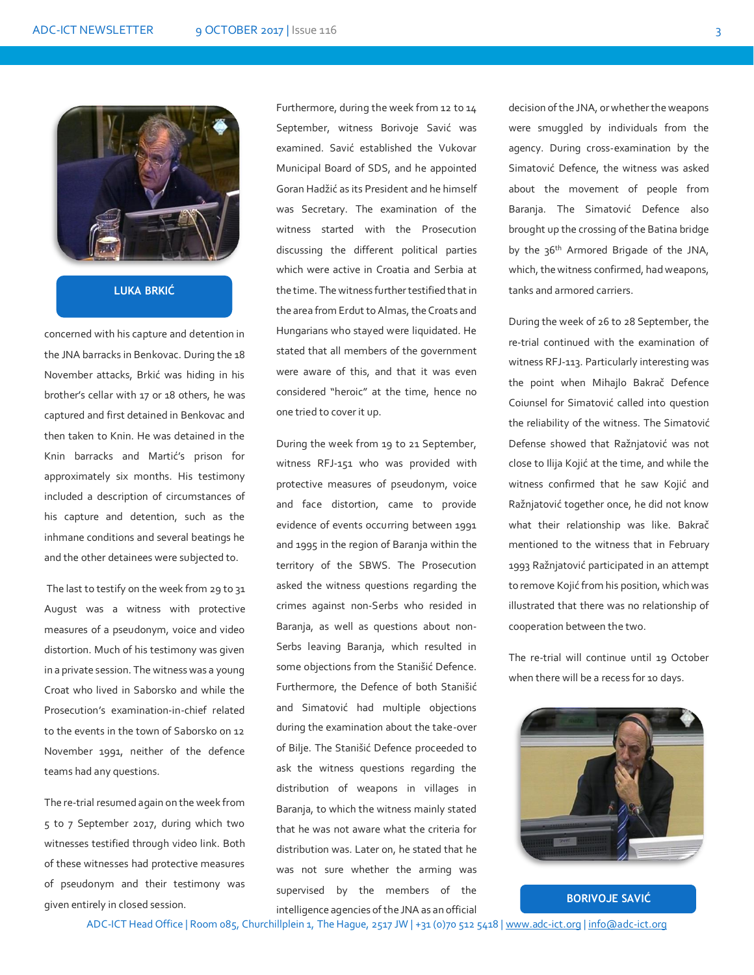

**LUKA BRKIĆ**

concerned with his capture and detention in the JNA barracks in Benkovac. During the 18 November attacks, Brkić was hiding in his brother's cellar with 17 or 18 others, he was captured and first detained in Benkovac and then taken to Knin. He was detained in the Knin barracks and Martić's prison for approximately six months. His testimony included a description of circumstances of his capture and detention, such as the inhmane conditions and several beatings he and the other detainees were subjected to.

The last to testify on the week from 29 to 31 August was a witness with protective measures of a pseudonym, voice and video distortion. Much of his testimony was given in a private session. The witness was a young Croat who lived in Saborsko and while the Prosecution's examination-in-chief related to the events in the town of Saborsko on 12 November 1991, neither of the defence teams had any questions.

The re-trial resumed again on the week from 5 to 7 September 2017, during which two witnesses testified through video link. Both of these witnesses had protective measures of pseudonym and their testimony was given entirely in closed session.

Furthermore, during the week from 12 to 14 September, witness Borivoje Savić was examined. Savić established the Vukovar Municipal Board of SDS, and he appointed Goran Hadžić as its President and he himself was Secretary. The examination of the witness started with the Prosecution discussing the different political parties which were active in Croatia and Serbia at the time. The witness further testified that in the area from Erdut to Almas, the Croats and Hungarians who stayed were liquidated. He stated that all members of the government were aware of this, and that it was even considered "heroic" at the time, hence no one tried to cover it up.

During the week from 19 to 21 September, witness RFJ-151 who was provided with protective measures of pseudonym, voice and face distortion, came to provide evidence of events occurring between 1991 and 1995 in the region of Baranja within the territory of the SBWS. The Prosecution asked the witness questions regarding the crimes against non-Serbs who resided in Baranja, as well as questions about non-Serbs leaving Baranja, which resulted in some objections from the Stanišić Defence. Furthermore, the Defence of both Stanišić and Simatović had multiple objections during the examination about the take-over of Bilje. The Stanišić Defence proceeded to ask the witness questions regarding the distribution of weapons in villages in Baranja, to which the witness mainly stated that he was not aware what the criteria for distribution was. Later on, he stated that he was not sure whether the arming was supervised by the members of the intelligence agencies of the JNA as an official

decision of the JNA, or whether the weapons were smuggled by individuals from the agency. During cross-examination by the Simatović Defence, the witness was asked about the movement of people from Baranja. The Simatović Defence also brought up the crossing of the Batina bridge by the 36<sup>th</sup> Armored Brigade of the JNA, which, the witness confirmed, had weapons, tanks and armored carriers.

During the week of 26 to 28 September, the re-trial continued with the examination of witness RFJ-113. Particularly interesting was the point when Mihajlo Bakrač Defence Coiunsel for Simatović called into question the reliability of the witness. The Simatović Defense showed that Ražnjatović was not close to Ilija Kojić at the time, and while the witness confirmed that he saw Kojić and Ražnjatović together once, he did not know what their relationship was like. Bakrač mentioned to the witness that in February 1993 Ražnjatović participated in an attempt to remove Kojić from his position, which was illustrated that there was no relationship of cooperation between the two.

The re-trial will continue until 19 October when there will be a recess for 10 days.



**BORIVOJE SAVIĆ**

ADC-ICT Head Office | Room 085, Churchillplein 1, The Hague, 2517 JW | +31 (0)70 512 5418 [| www.adc-ict.org](http://www.adc-ict.org/) | [info@adc-ict.org](mailto:info@adc-ict.org)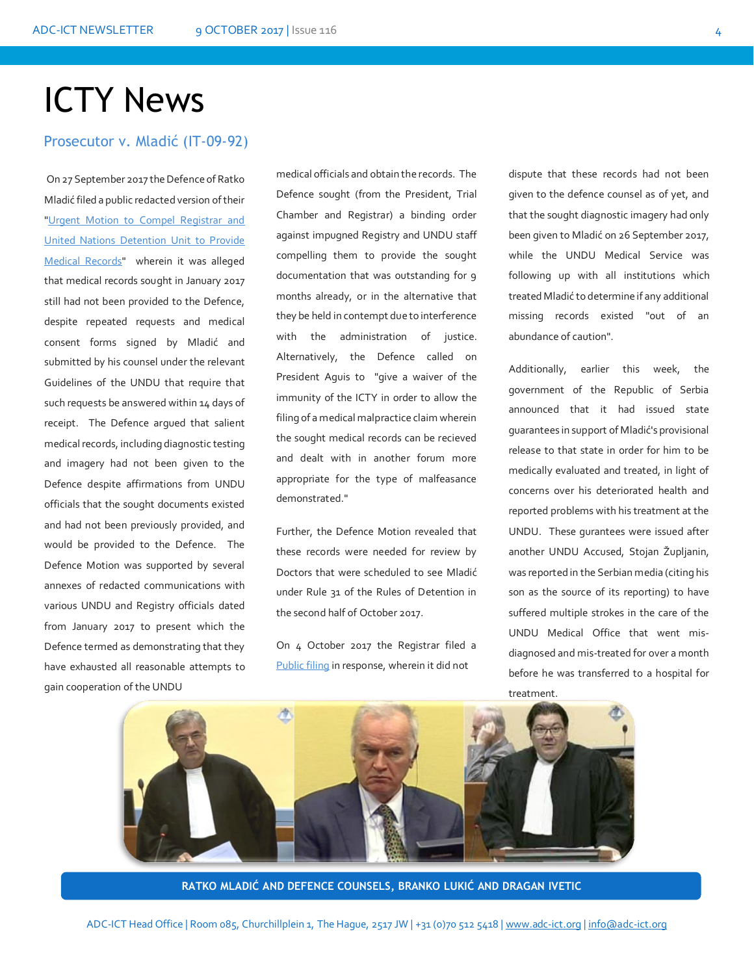# ICTY News

Prosecutor v. Mladić (IT-09-92)

On 27 September 2017 the Defence of Ratko Mladić filed a public redacted version of their ["Urgent Motion to Compel Registrar and](http://icr.icty.org/LegalRef/CMSDocStore/Public/English/Motions/NotIndexable/IT-09-92/MRA25292R0000515306.pdf)  [United Nations Detention Unit to Provide](http://icr.icty.org/LegalRef/CMSDocStore/Public/English/Motions/NotIndexable/IT-09-92/MRA25292R0000515306.pdf)  [Medical Records"](http://icr.icty.org/LegalRef/CMSDocStore/Public/English/Motions/NotIndexable/IT-09-92/MRA25292R0000515306.pdf) wherein it was alleged that medical records sought in January 2017 still had not been provided to the Defence, despite repeated requests and medical consent forms signed by Mladić and submitted by his counsel under the relevant Guidelines of the UNDU that require that such requests be answered within 14 days of receipt. The Defence argued that salient medical records, including diagnostic testing and imagery had not been given to the Defence despite affirmations from UNDU officials that the sought documents existed and had not been previously provided, and would be provided to the Defence. The Defence Motion was supported by several annexes of redacted communications with various UNDU and Registry officials dated from January 2017 to present which the Defence termed as demonstrating that they have exhausted all reasonable attempts to gain cooperation of the UNDU

medical officials and obtain the records. The Defence sought (from the President, Trial Chamber and Registrar) a binding order against impugned Registry and UNDU staff compelling them to provide the sought documentation that was outstanding for 9 months already, or in the alternative that they be held in contempt due to interference with the administration of justice. Alternatively, the Defence called on President Aguis to "give a waiver of the immunity of the ICTY in order to allow the filing of a medical malpractice claim wherein the sought medical records can be recieved and dealt with in another forum more appropriate for the type of malfeasance demonstrated."

Further, the Defence Motion revealed that these records were needed for review by Doctors that were scheduled to see Mladić under Rule 31 of the Rules of Detention in the second half of October 2017.

On 4 October 2017 the Registrar filed a [Public filing](http://icr.icty.org/LegalRef/CMSDocStore/Public/English/Submission/NotIndexable/IT-09-92/MRA25296R0000515720.pdf) in response, wherein it did not

dispute that these records had not been given to the defence counsel as of yet, and that the sought diagnostic imagery had only been given to Mladić on 26 September 2017, while the UNDU Medical Service was following up with all institutions which treated Mladić to determine if any additional missing records existed "out of an abundance of caution".

Additionally, earlier this week, the government of the Republic of Serbia announced that it had issued state guarantees in support of Mladić's provisional release to that state in order for him to be medically evaluated and treated, in light of concerns over his deteriorated health and reported problems with his treatment at the UNDU. These gurantees were issued after another UNDU Accused, Stojan Župljanin, was reported in the Serbian media (citing his son as the source of its reporting) to have suffered multiple strokes in the care of the UNDU Medical Office that went misdiagnosed and mis-treated for over a month before he was transferred to a hospital for treatment.



今

**RATKO MLADIĆ AND DEFENCE COUNSELS, BRANKO LUKIĆ AND DRAGAN IVETIC**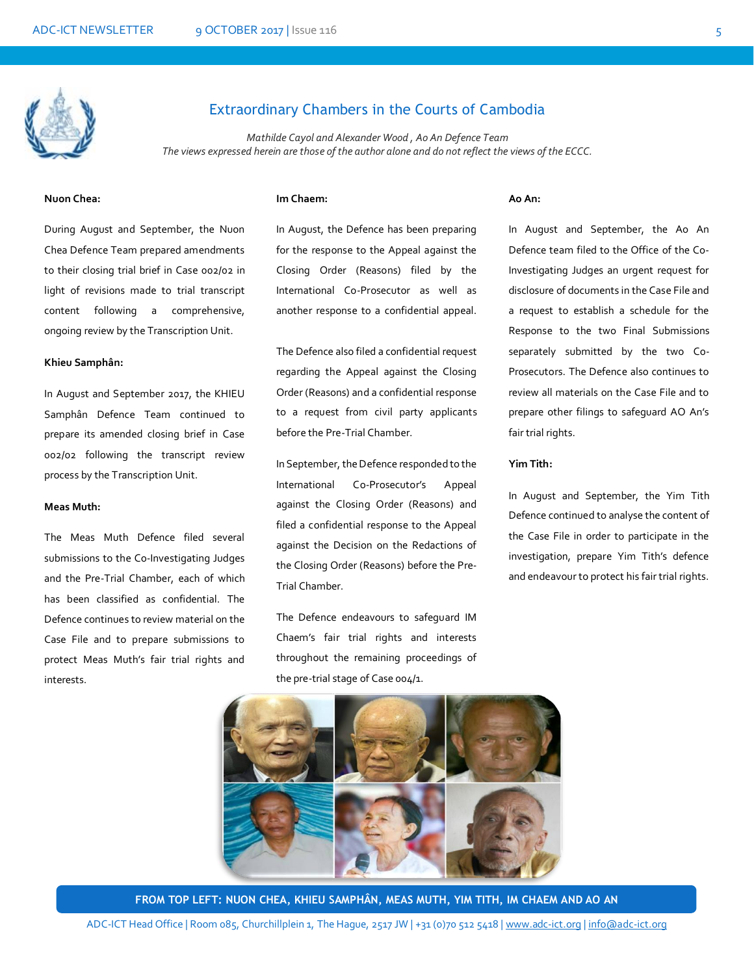

## Extraordinary Chambers in the Courts of Cambodia

*Mathilde Cayol and Alexander Wood , Ao An Defence Team The views expressed herein are those of the author alone and do not reflect the views of the ECCC.*

### **Nuon Chea:**

**Im Chaem:**

During August and September, the Nuon Chea Defence Team prepared amendments to their closing trial brief in Case 002/02 in light of revisions made to trial transcript content following a comprehensive, ongoing review by the Transcription Unit.

#### **Khieu Samphân:**

In August and September 2017, the KHIEU Samphân Defence Team continued to prepare its amended closing brief in Case 002/02 following the transcript review process by the Transcription Unit.

#### **Meas Muth:**

The Meas Muth Defence filed several submissions to the Co-Investigating Judges and the Pre-Trial Chamber, each of which has been classified as confidential. The Defence continues to review material on the Case File and to prepare submissions to protect Meas Muth's fair trial rights and interests.

In August, the Defence has been preparing for the response to the Appeal against the Closing Order (Reasons) filed by the International Co-Prosecutor as well as another response to a confidential appeal.

The Defence also filed a confidential request regarding the Appeal against the Closing Order (Reasons) and a confidential response to a request from civil party applicants before the Pre-Trial Chamber.

In September, the Defence responded to the International Co-Prosecutor's Appeal against the Closing Order (Reasons) and filed a confidential response to the Appeal against the Decision on the Redactions of the Closing Order (Reasons) before the Pre-Trial Chamber.

The Defence endeavours to safeguard IM Chaem's fair trial rights and interests throughout the remaining proceedings of the pre-trial stage of Case 004/1.

#### **Ao An:**

In August and September, the Ao An Defence team filed to the Office of the Co-Investigating Judges an urgent request for disclosure of documents in the Case File and a request to establish a schedule for the Response to the two Final Submissions separately submitted by the two Co-Prosecutors. The Defence also continues to review all materials on the Case File and to prepare other filings to safeguard AO An's fair trial rights.

#### **Yim Tith:**

In August and September, the Yim Tith Defence continued to analyse the content of the Case File in order to participate in the investigation, prepare Yim Tith's defence and endeavour to protect his fair trial rights.



**FROM TOP LEFT: NUON CHEA, KHIEU SAMPHÂN, MEAS MUTH, YIM TITH, IM CHAEM AND AO AN**

ADC-ICT Head Office | Room 085, Churchillplein 1, The Hague, 2517 JW | +31 (0)70 512 5418 [| www.adc-ict.org](http://www.adc-ict.org/) | [info@adc-ict.org](mailto:info@adc-ict.org)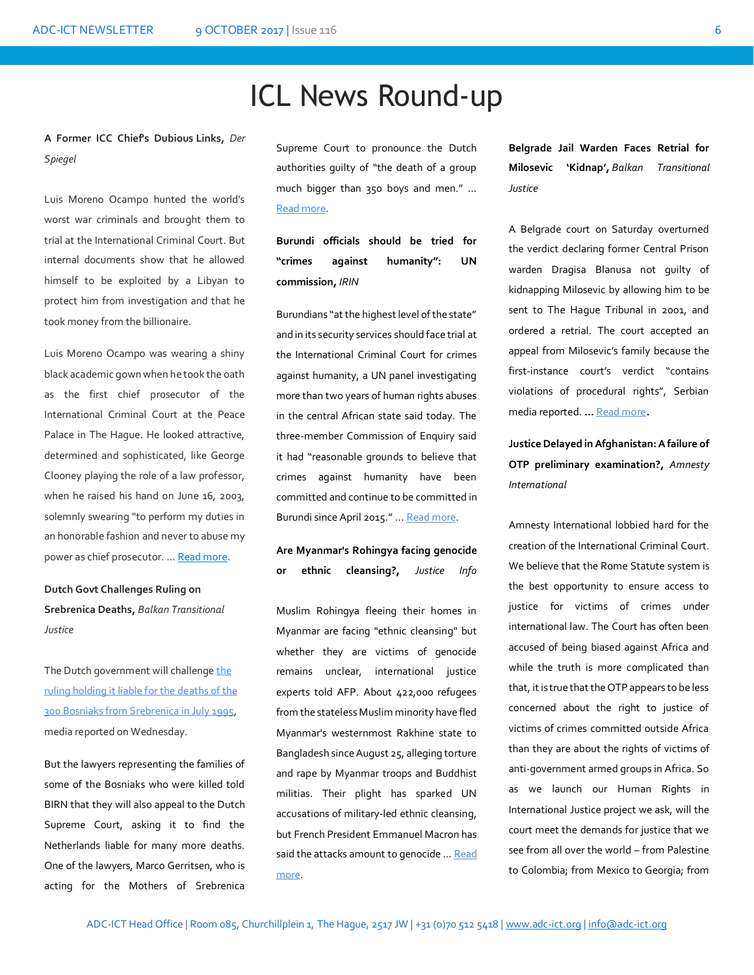## ICL News Round-up

**A Former ICC Chief's Dubious Links,** *Der Spiegel*

Luis Moreno Ocampo hunted the world's worst war criminals and brought them to trial at the International Criminal Court. But internal documents show that he allowed himself to be exploited by a Libyan to protect him from investigation and that he took money from the billionaire.

Luis Moreno Ocampo was wearing a shiny black academic gown when he took the oath as the first chief prosecutor of the International Criminal Court at the Peace Palace in The Hague. He looked attractive, determined and sophisticated, like George Clooney playing the role of a law professor, when he raised his hand on June 16, 2003, solemnly swearing "to perform my duties in an honorable fashion and never to abuse my power as chief prosecutor. … [Read more.](http://www.spiegel.de/international/world/ocampo-affair-the-former-icc-chief-s-dubious-libyan-ties-a-1171195.html)

**Dutch Govt Challenges Ruling on Srebrenica Deaths,** *Balkan Transitional Justice*

The Dutch government will challenge the [ruling holding it liable for the deaths of the](http://www.balkaninsight.com/en/article/srebrenica-netherlands-peacekeepers-verdict-06-27-2017)  [300 Bosniaks from Srebrenica in July 1995,](http://www.balkaninsight.com/en/article/srebrenica-netherlands-peacekeepers-verdict-06-27-2017)  media reported on Wednesday.

But the lawyers representing the families of some of the Bosniaks who were killed told BIRN that they will also appeal to the Dutch Supreme Court, asking it to find the Netherlands liable for many more deaths. One of the lawyers, Marco Gerritsen, who is acting for the Mothers of Srebrenica

Supreme Court to pronounce the Dutch authorities guilty of "the death of a group much bigger than 350 boys and men." … [Read more](http://www.balkaninsight.com/en/article/dutch-govt-challenges-ruling-on-srebrenica-deaths-09-21-2017?utm_source=Balkan+Transitional+Justice+Daily+Newsletter+-+NEW&utm_campaign=199ac366ed-RSS_EMAIL_CAMPAIGN&utm_medium=email&utm_term=0_a1d9e93e97-199ac366ed-319753337).

**Burundi officials should be tried for "crimes against humanity": UN commission,** *IRIN*

Burundians "at the highest level of the state" and in its security services should face trial at the International Criminal Court for crimes against humanity, a UN panel investigating more than two years of human rights abuses in the central African state said today. The three-member Commission of Enquiry said it had "reasonable grounds to believe that crimes against humanity have been committed and continue to be committed in Burundi since April 2015." ... [Read more.](https://www.irinnews.org/news/2017/09/04/burundi-officials-should-be-tried-crimes-against-humanity-un-commission) 

**Are Myanmar's Rohingya facing genocide or ethnic cleansing?,** *Justice Info*

Muslim Rohingya fleeing their homes in Myanmar are facing "ethnic cleansing" but whether they are victims of genocide remains unclear, international justice experts told AFP. About 422,000 refugees from the stateless Muslim minority have fled Myanmar's westernmost Rakhine state to Bangladesh since August 25, alleging torture and rape by Myanmar troops and Buddhist militias. Their plight has sparked UN accusations of military-led ethnic cleansing, but French President Emmanuel Macron has said the attacks amount to genocide ... Read [more.](http://www.justiceinfo.net/en/justice-reconciliation/34696-are-myanmar-s-rohingya-facing-genocide-or-ethnic-cleansingae.html)

**Belgrade Jail Warden Faces Retrial for Milosevic 'Kidnap',** *Balkan Transitional Justice*

A Belgrade court on Saturday overturned the verdict declaring former Central Prison warden Dragisa Blanusa not guilty of kidnapping Milosevic by allowing him to be sent to The Hague Tribunal in 2001, and ordered a retrial. The court accepted an appeal from Milosevic's family because the first-instance court's verdict "contains violations of procedural rights", Serbian media reported. **…** [Read more](http://www.balkaninsight.com/en/article/belgrade-prison-warden-faces-retrial-for-kidnapping-milosevic-09-25-2017?utm_source=Balkan+Transitional+Justice+Daily+Newsletter+-+NEW&utm_campaign=265cfc0a1c-RSS_EMAIL_CAMPAIGN&utm_medium=email&utm_term=0_a1d9e93e97-265cfc0a1c-319753337)**.** 

**Justice Delayed in Afghanistan: A failure of OTP preliminary examination?,** *Amnesty International*

Amnesty International lobbied hard for the creation of the International Criminal Court. We believe that the Rome Statute system is the best opportunity to ensure access to justice for victims of crimes under international law. The Court has often been accused of being biased against Africa and while the truth is more [complicated](https://www.dailymaverick.co.za/article/2016-11-16-op-ed-african-states-must-not-waste-a-golden-opportunity-to-build-a-better-system-of-international-justice/#.WaZK6mczXIU) than that, it is true that the OTP appears to be less concerned about the right to justice of victims of crimes committed outside Africa than they are about the rights of victims of anti-government armed groups in Africa. So as we launch our Human Rights in International Justice project we ask, will the court meet the demands for justice that we see from all over the world – from Palestine to Colombia; from Mexico to Georgia; from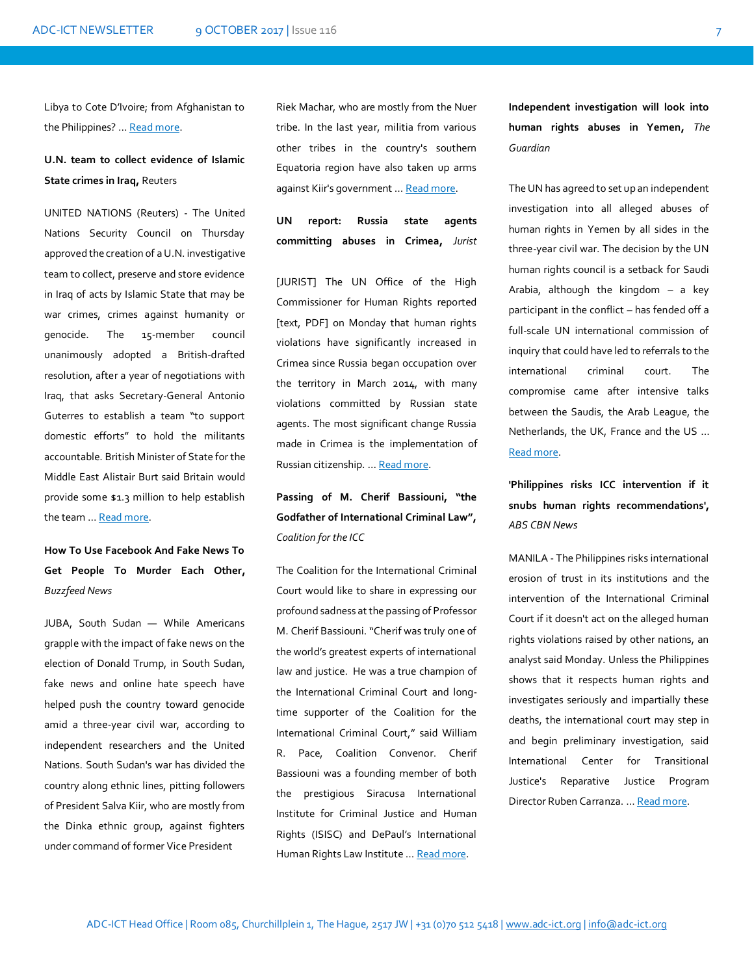Libya to Cote D'Ivoire; from Afghanistan to th[e Philippines](http://opiniojuris.org/2017/08/17/this-is-why-people-think-the-icc-is-unfairly-targeting-africa/)? … [Read more.](https://hrij.amnesty.nl/justice-afghanistan-icc-otp-pe/)

## **U.N. team to collect evidence of Islamic State crimes in Iraq,** Reuters

UNITED NATIONS (Reuters) - The United Nations Security Council on Thursday approved the creation of a U.N. investigative team to collect, preserve and store evidence in Iraq of acts by Islamic State that may be war crimes, crimes against humanity or genocide. The 15-member council unanimously adopted a British-drafted resolution, after a year of negotiations with Iraq, that asks Secretary-General Antonio Guterres to establish a team "to support domestic efforts" to hold the militants accountable. British Minister of State for the Middle East Alistair Burt said Britain would provide some \$1.3 million to help establish the team … [Read more.](http://www.reuters.com/article/us-mideast-crisis-iraq-un/u-n-team-to-collect-evidence-of-islamic-state-crimes-in-iraq-idUSKCN1BW26J)

## **How To Use Facebook And Fake News To Get People To Murder Each Other,**  *Buzzfeed News*

JUBA, South Sudan — While Americans grapple with the impact of fake news on the election of Donald Trump, in South Sudan, fake news and online hate speech have helped push the country toward genocide amid a three-year civil war, according to independent researchers and the United Nations. South Sudan's war has divided the country along ethnic lines, pitting followers of President Salva Kiir, who are mostly from the Dinka ethnic group, against fighters under command of former Vice President

Riek Machar, who are mostly from the Nuer tribe. In the last year, militia from various other tribes in the country's southern Equatoria region have also taken up arms against Kiir's government … [Read more.](https://www.buzzfeed.com/jasonpatinkin/how-to-get-people-to-murder-each-other-through-fake-news-and?utm_term=.rudZEBmrN#.xjgDvqdzX) 

**UN report: Russia state agents committing abuses in Crimea,** *Jurist* 

[JURIST] The UN Office of the High Commissioner for Human Rights [reported](http://www.ohchr.org/Documents/Countries/UA/Crimea2014_2017_EN.pdf) [text, PDF] on Monday that human rights violations have significantly increased in Crimea since Russia began occupation over the territory in March 2014, with many violations committed by Russian state agents. The most significant change Russia made in Crimea is the implementation of Russian citizenship. … [Read more.](http://www.jurist.org/paperchase/2017/09/un-report-russia-state-agents-committing-abuses-in-crimea.php)

**Passing of M. Cherif Bassiouni, "the Godfather of International Criminal Law",**  *Coalition for the ICC*

The Coalition for the International Criminal Court would like to share in expressing our profound sadness at the passing of Professor M. Cherif Bassiouni. "Cherif was truly one of the world's greatest experts of international law and justice. He was a true champion of the International Criminal Court and longtime supporter of the Coalition for the International Criminal Court," said William R. Pace, Coalition Convenor. Cherif Bassiouni was a founding member of both the prestigious Siracusa International Institute for Criminal Justice and Human Rights (ISISC) and DePaul's International Human Rights Law Institute ... [Read more.](http://www.coalitionfortheicc.org/news/20170926/passing-m-cherif-bassiouni-godfather-international-criminal-law)

**Independent investigation will look into human rights abuses in Yemen,** *The Guardian* 

The UN has agreed to set up an independent investigation into all alleged abuses of human rights in [Yemen](https://www.theguardian.com/world/yemen) by all sides in the three-year civil war. The decision by the UN human rights council is a setback for [Saudi](https://www.theguardian.com/world/saudiarabia)  [Arabia,](https://www.theguardian.com/world/saudiarabia) although the kingdom – a key participant in the conflict – has fended off a full-scale UN international commission of inquiry that could have led to referrals to the international criminal court. The compromise came after intensive talks between the Saudis, the Arab League, the [Netherlands,](https://www.theguardian.com/world/netherlands) the UK, France and the US … [Read more.](https://www.theguardian.com/world/2017/sep/29/yemen-un-investigation-human-rights-abuses)

**'Philippines risks ICC intervention if it snubs human rights recommendations',**  *ABS CBN News*

MANILA - The Philippines risks international erosion of trust in its institutions and the intervention of the International Criminal Court if it doesn't act on the alleged human rights violations raised by other nations, an analyst said Monday. Unless the Philippines shows that it respects human rights and investigates seriously and impartially these deaths, the international court may step in and begin preliminary investigation, said International Center for Transitional Justice's Reparative Justice Program Director Ruben Carranza. … [Read more.](http://news.abs-cbn.com/news/10/02/17/philippines-risks-icc-intervention-if-it-snubs-human-rights-recommendations)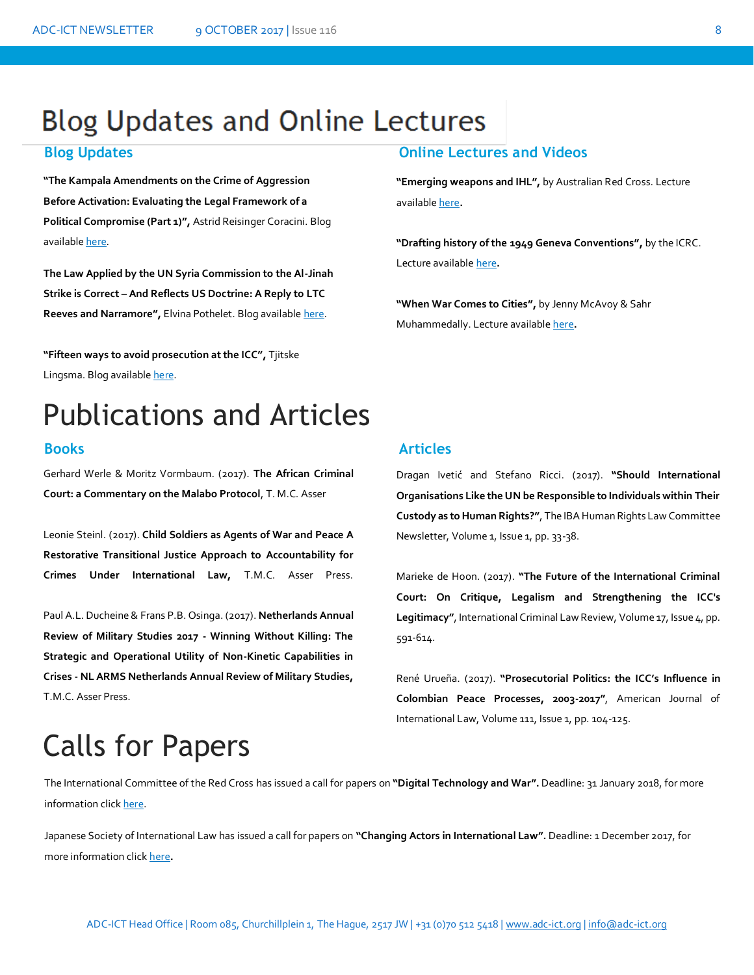## **Blog Updates and Online Lectures**

## **Blog Updates Online Lectures and Videos**

**"The Kampala Amendments on the Crime of Aggression Before Activation: Evaluating the Legal Framework of a Political Compromise (Part 1)",** Astrid Reisinger Coracini. Blog available [here.](http://opiniojuris.org/2017/09/29/the-kampala-amendments-on-the-crime-of-aggression-before-activation-evaluating-the-legal-framework-of-a-political-compromise/)

**The Law Applied by the UN Syria Commission to the Al-Jinah Strike is Correct – And Reflects US Doctrine: A Reply to LTC Reeves and Narramore",** Elvina Pothelet. Blog available [here.](http://opiniojuris.org/2017/09/27/the-law-applied-by-the-un-syria-commission-to-the-al-jinah-strike-is-correct-and-reflects-us-doctrine-a-reply-to-ltc-reeves-and-narramore/)

**"Fifteen ways to avoid prosecution at the ICC",** Tjitske Lingsma. Blog available [here.](https://www.justicetribune.com/blog/fifteen-ways-avoid-prosecution-icc) 

## Lecture available [here](http://blogs.icrc.org/cross-files/drafting-history-1949-geneva-conventions/)**.**

**"When War Comes to Cities",** by Jenny McAvoy & Sahr Muhammedally. Lecture availabl[e here](https://soundcloud.com/user-940374434/urban-warfare-podcast)**.** 

**"Emerging weapons and IHL",** by Australian Red Cross. Lecture

**"Drafting history of the 1949 Geneva Conventions",** by the ICRC.

# Publications and Articles

Gerhard Werle & Moritz Vormbaum. (2017). **The African Criminal Court: a Commentary on the Malabo Protocol**, T. M.C. Asser

Leonie Steinl. (2017). **Child Soldiers as Agents of War and Peace A Restorative Transitional Justice Approach to Accountability for Crimes Under International Law,** T.M.C. Asser Press.

Paul A.L. Ducheine & Frans P.B. Osinga. (2017). **Netherlands Annual Review of Military Studies 2017 - Winning Without Killing: The Strategic and Operational Utility of Non-Kinetic Capabilities in Crises - NL ARMS Netherlands Annual Review of Military Studies,**  T.M.C. Asser Press.

## **Books Articles**

available [here](https://soundcloud.com/australian-red-cross/emerging-weapons-and-ihl)**.** 

Dragan Ivetić and Stefano Ricci. (2017). **"Should International Organisations Like the UN be Responsible to Individuals within Their Custody as to Human Rights?"**, The IBA Human Rights Law Committee Newsletter, Volume 1, Issue 1, pp. 33-38.

Marieke de Hoon. (2017). **"The Future of the International Criminal Court: On Critique, Legalism and Strengthening the ICC's Legitimacy"**, International Criminal Law Review, Volume 17, Issue 4, pp. 591-614.

René Urueña. (2017). **"Prosecutorial Politics: the ICC's Influence in Colombian Peace Processes, 2003-2017"**, American Journal of International Law, Volume 111, Issue 1, pp. 104-125.

# Calls for Papers

The International Committee of the Red Cross has issued a call for papers on **"Digital Technology and War".** Deadline: 31 January 2018, for more information click here. information clic[k here.](https://www.icrc.org/en/international-review/article/digital-technology-and-war)

Japanese Society of International Law has issued a call for papers on **"Changing Actors in International Law".** Deadline: 1 December 2017, for more information clic[k here](http://www.asiansil.org/wp-content/uploads/2017/03/Call-for-Papers-The-7th-International-Four-Societies-Conference.pdf)**.**